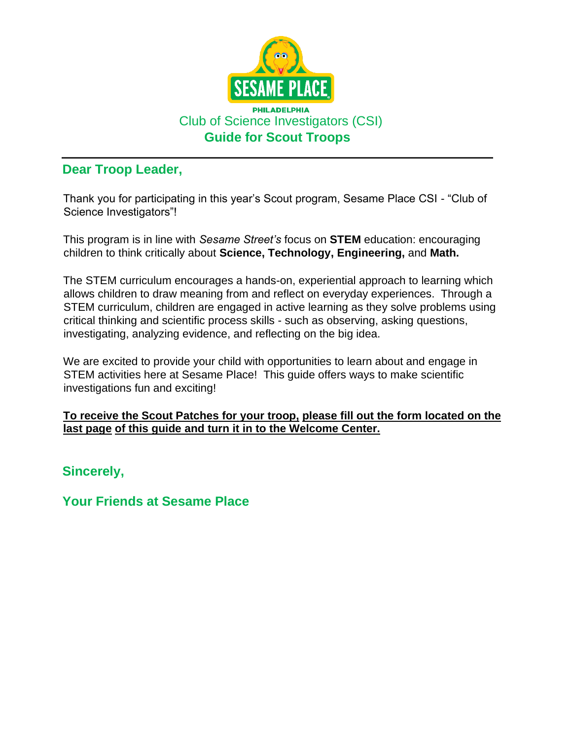

### **Dear Troop Leader,**

Thank you for participating in this year's Scout program, Sesame Place CSI - "Club of Science Investigators"!

This program is in line with *Sesame Street's* focus on **STEM** education: encouraging children to think critically about **Science, Technology, Engineering,** and **Math.** 

The STEM curriculum encourages a hands-on, experiential approach to learning which allows children to draw meaning from and reflect on everyday experiences. Through a STEM curriculum, children are engaged in active learning as they solve problems using critical thinking and scientific process skills - such as observing, asking questions, investigating, analyzing evidence, and reflecting on the big idea.

We are excited to provide your child with opportunities to learn about and engage in STEM activities here at Sesame Place! This guide offers ways to make scientific investigations fun and exciting!

#### **To receive the Scout Patches for your troop, please fill out the form located on the last page of this guide and turn it in to the Welcome Center.**

**Sincerely,** 

**Your Friends at Sesame Place**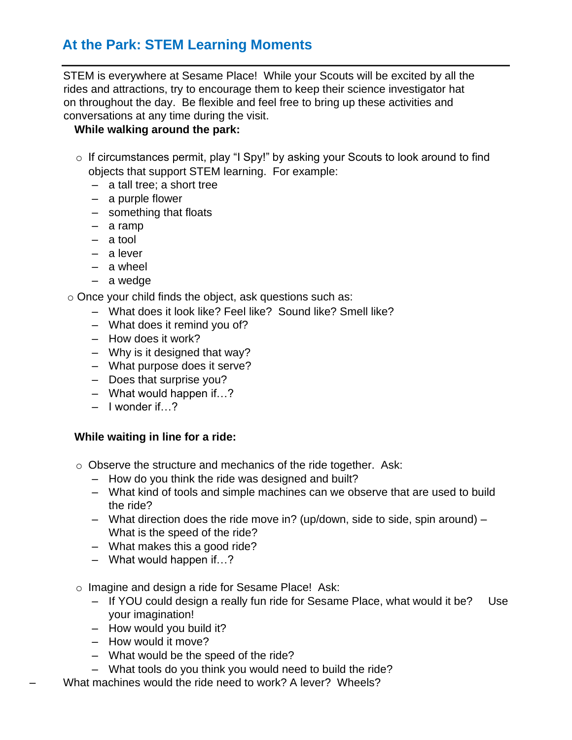### **At the Park: STEM Learning Moments**

STEM is everywhere at Sesame Place! While your Scouts will be excited by all the rides and attractions, try to encourage them to keep their science investigator hat on throughout the day. Be flexible and feel free to bring up these activities and conversations at any time during the visit.

#### **While walking around the park:**

- o If circumstances permit, play "I Spy!" by asking your Scouts to look around to find objects that support STEM learning. For example:
	- a tall tree; a short tree
	- a purple flower
	- something that floats
	- a ramp
	- a tool
	- a lever
	- a wheel
	- a wedge

o Once your child finds the object, ask questions such as:

- What does it look like? Feel like? Sound like? Smell like?
- What does it remind you of?
- How does it work?
- Why is it designed that way?
- What purpose does it serve?
- Does that surprise you?
- What would happen if…?
- $-$  I wonder if  $\gamma$

#### **While waiting in line for a ride:**

- o Observe the structure and mechanics of the ride together. Ask:
	- How do you think the ride was designed and built?
	- What kind of tools and simple machines can we observe that are used to build the ride?
	- What direction does the ride move in? (up/down, side to side, spin around) What is the speed of the ride?
	- What makes this a good ride?
	- What would happen if…?
- o Imagine and design a ride for Sesame Place! Ask:
	- If YOU could design a really fun ride for Sesame Place, what would it be? Use your imagination!
	- How would you build it?
	- How would it move?
	- What would be the speed of the ride?
	- What tools do you think you would need to build the ride?
- What machines would the ride need to work? A lever? Wheels?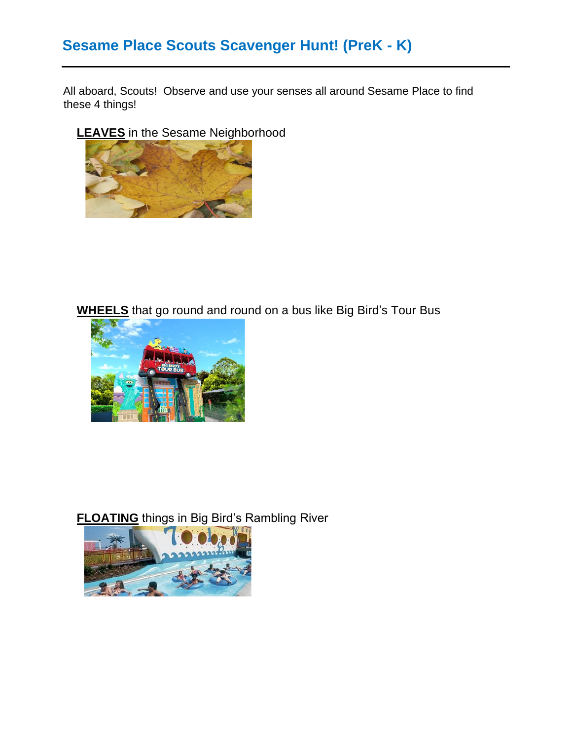# **Sesame Place Scouts Scavenger Hunt! (PreK - K)**

All aboard, Scouts! Observe and use your senses all around Sesame Place to find these 4 things!

**LEAVES** in the Sesame Neighborhood



**WHEELS** that go round and round on a bus like Big Bird's Tour Bus



**FLOATING** things in Big Bird's Rambling River

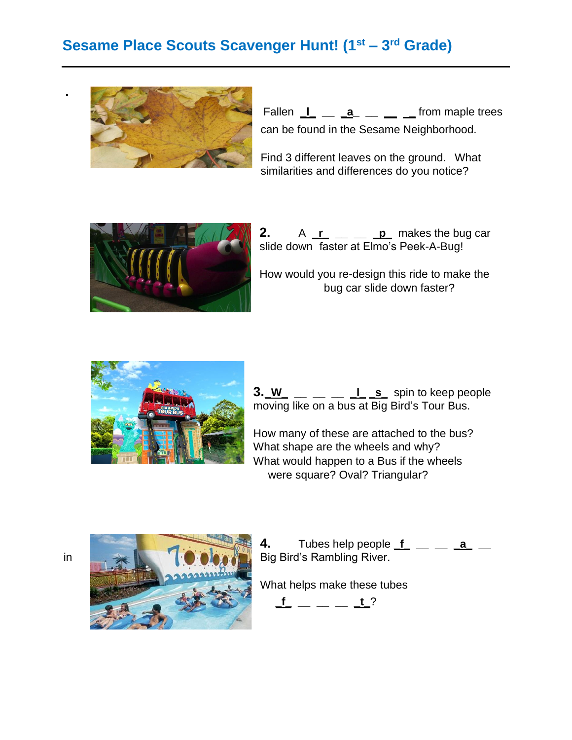# **Sesame Place Scouts Scavenger Hunt! (1st – 3 rd Grade)**



Fallen  $\perp$  <u>a</u> a <u>b seco</u> from maple trees can be found in the Sesame Neighborhood.

Find 3 different leaves on the ground. What similarities and differences do you notice?



**2.** A  $\mathbf{r}$   $\mathbf{r}$  **p** makes the bug car slide down faster at Elmo's Peek-A-Bug!

How would you re-design this ride to make the bug car slide down faster?



 $3. W_ - = 1$  **L** s spin to keep people moving like on a bus at Big Bird's Tour Bus.

How many of these are attached to the bus? What shape are the wheels and why? What would happen to a Bus if the wheels were square? Oval? Triangular?



**4.** Tubes help people **\_f\_ \_\_ \_\_ \_a\_ \_\_** 

What helps make these tubes

 $f = \_ = \_ \frac{t}{s}$ ?

**.**